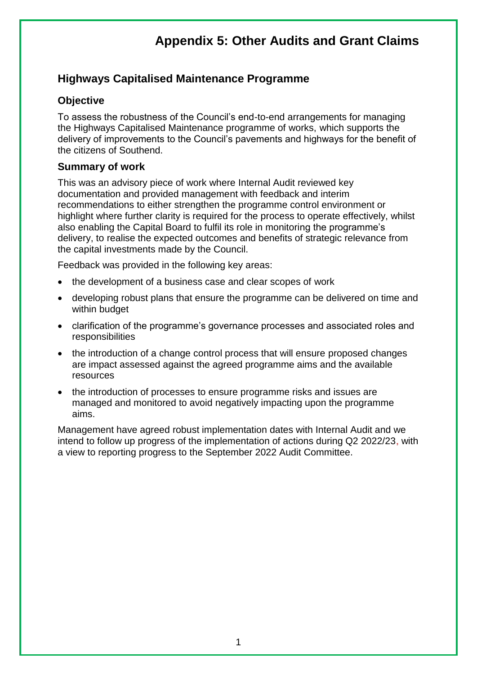## **Highways Capitalised Maintenance Programme**

#### **Objective**

To assess the robustness of the Council's end-to-end arrangements for managing the Highways Capitalised Maintenance programme of works, which supports the delivery of improvements to the Council's pavements and highways for the benefit of the citizens of Southend.

#### **Summary of work**

This was an advisory piece of work where Internal Audit reviewed key documentation and provided management with feedback and interim recommendations to either strengthen the programme control environment or highlight where further clarity is required for the process to operate effectively, whilst also enabling the Capital Board to fulfil its role in monitoring the programme's delivery, to realise the expected outcomes and benefits of strategic relevance from the capital investments made by the Council.

Feedback was provided in the following key areas:

- the development of a business case and clear scopes of work
- developing robust plans that ensure the programme can be delivered on time and within budget
- clarification of the programme's governance processes and associated roles and responsibilities
- the introduction of a change control process that will ensure proposed changes are impact assessed against the agreed programme aims and the available resources
- the introduction of processes to ensure programme risks and issues are managed and monitored to avoid negatively impacting upon the programme aims.

Management have agreed robust implementation dates with Internal Audit and we intend to follow up progress of the implementation of actions during Q2 2022/23, with a view to reporting progress to the September 2022 Audit Committee.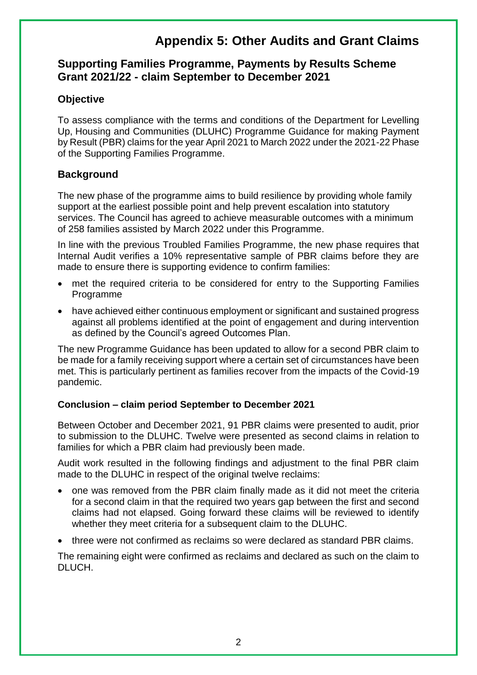### **Supporting Families Programme, Payments by Results Scheme Grant 2021/22 - claim September to December 2021**

### **Objective**

To assess compliance with the terms and conditions of the Department for Levelling Up, Housing and Communities (DLUHC) Programme Guidance for making Payment by Result (PBR) claims for the year April 2021 to March 2022 under the 2021-22 Phase of the Supporting Families Programme.

### **Background**

The new phase of the programme aims to build resilience by providing whole family support at the earliest possible point and help prevent escalation into statutory services. The Council has agreed to achieve measurable outcomes with a minimum of 258 families assisted by March 2022 under this Programme.

In line with the previous Troubled Families Programme, the new phase requires that Internal Audit verifies a 10% representative sample of PBR claims before they are made to ensure there is supporting evidence to confirm families:

- met the required criteria to be considered for entry to the Supporting Families Programme
- have achieved either continuous employment or significant and sustained progress against all problems identified at the point of engagement and during intervention as defined by the Council's agreed Outcomes Plan.

The new Programme Guidance has been updated to allow for a second PBR claim to be made for a family receiving support where a certain set of circumstances have been met. This is particularly pertinent as families recover from the impacts of the Covid-19 pandemic.

#### **Conclusion – claim period September to December 2021**

Between October and December 2021, 91 PBR claims were presented to audit, prior to submission to the DLUHC. Twelve were presented as second claims in relation to families for which a PBR claim had previously been made.

Audit work resulted in the following findings and adjustment to the final PBR claim made to the DLUHC in respect of the original twelve reclaims:

- one was removed from the PBR claim finally made as it did not meet the criteria for a second claim in that the required two years gap between the first and second claims had not elapsed. Going forward these claims will be reviewed to identify whether they meet criteria for a subsequent claim to the DLUHC.
- three were not confirmed as reclaims so were declared as standard PBR claims.

The remaining eight were confirmed as reclaims and declared as such on the claim to DLUCH.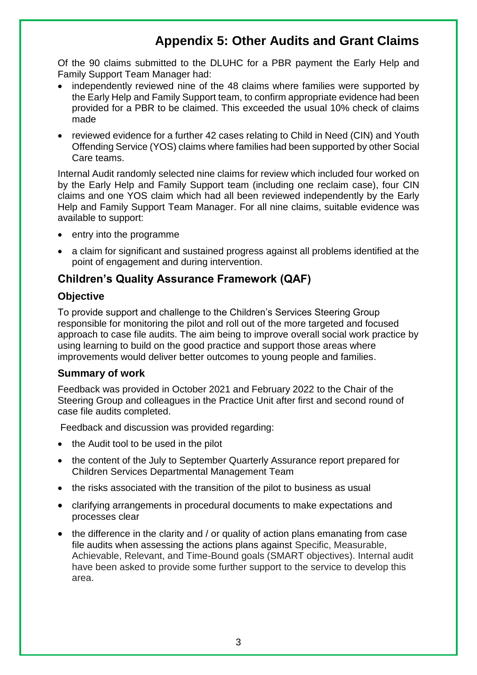Of the 90 claims submitted to the DLUHC for a PBR payment the Early Help and Family Support Team Manager had:

- independently reviewed nine of the 48 claims where families were supported by the Early Help and Family Support team, to confirm appropriate evidence had been provided for a PBR to be claimed. This exceeded the usual 10% check of claims made
- reviewed evidence for a further 42 cases relating to Child in Need (CIN) and Youth Offending Service (YOS) claims where families had been supported by other Social Care teams.

Internal Audit randomly selected nine claims for review which included four worked on by the Early Help and Family Support team (including one reclaim case), four CIN claims and one YOS claim which had all been reviewed independently by the Early Help and Family Support Team Manager. For all nine claims, suitable evidence was available to support:

- entry into the programme
- a claim for significant and sustained progress against all problems identified at the point of engagement and during intervention.

### **Children's Quality Assurance Framework (QAF)**

#### **Objective**

To provide support and challenge to the Children's Services Steering Group responsible for monitoring the pilot and roll out of the more targeted and focused approach to case file audits. The aim being to improve overall social work practice by using learning to build on the good practice and support those areas where improvements would deliver better outcomes to young people and families.

#### **Summary of work**

Feedback was provided in October 2021 and February 2022 to the Chair of the Steering Group and colleagues in the Practice Unit after first and second round of case file audits completed.

Feedback and discussion was provided regarding:

- the Audit tool to be used in the pilot
- the content of the July to September Quarterly Assurance report prepared for Children Services Departmental Management Team
- the risks associated with the transition of the pilot to business as usual
- clarifying arrangements in procedural documents to make expectations and processes clear
- the difference in the clarity and / or quality of action plans emanating from case file audits when assessing the actions plans against Specific, Measurable, Achievable, Relevant, and Time-Bound goals (SMART objectives). Internal audit have been asked to provide some further support to the service to develop this area.